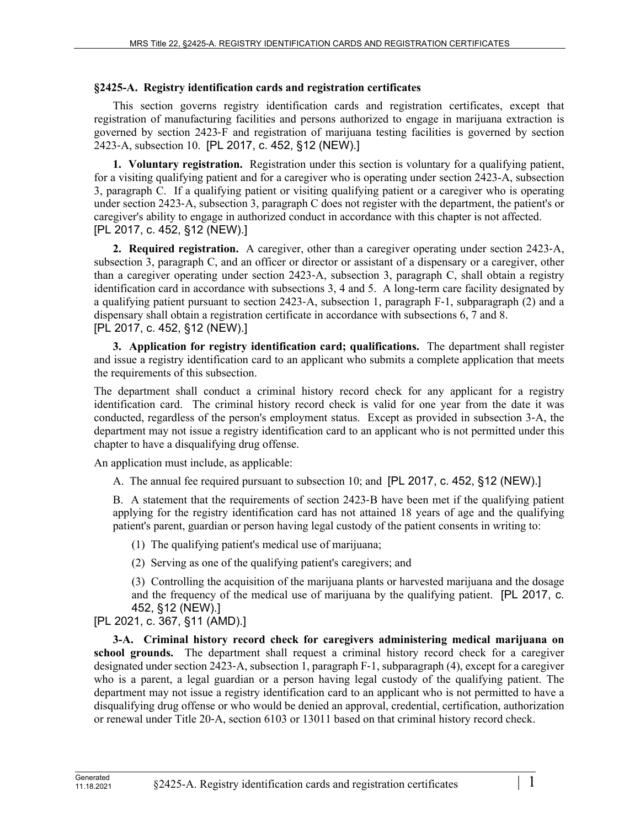## **§2425-A. Registry identification cards and registration certificates**

This section governs registry identification cards and registration certificates, except that registration of manufacturing facilities and persons authorized to engage in marijuana extraction is governed by section 2423‑F and registration of marijuana testing facilities is governed by section 2423‑A, subsection 10. [PL 2017, c. 452, §12 (NEW).]

**1. Voluntary registration.** Registration under this section is voluntary for a qualifying patient, for a visiting qualifying patient and for a caregiver who is operating under section 2423-A, subsection 3, paragraph C. If a qualifying patient or visiting qualifying patient or a caregiver who is operating under section 2423‑A, subsection 3, paragraph C does not register with the department, the patient's or caregiver's ability to engage in authorized conduct in accordance with this chapter is not affected. [PL 2017, c. 452, §12 (NEW).]

**2. Required registration.** A caregiver, other than a caregiver operating under section 2423‑A, subsection 3, paragraph C, and an officer or director or assistant of a dispensary or a caregiver, other than a caregiver operating under section 2423‑A, subsection 3, paragraph C, shall obtain a registry identification card in accordance with subsections 3, 4 and 5. A long-term care facility designated by a qualifying patient pursuant to section 2423‑A, subsection 1, paragraph F‑1, subparagraph (2) and a dispensary shall obtain a registration certificate in accordance with subsections 6, 7 and 8. [PL 2017, c. 452, §12 (NEW).]

**3. Application for registry identification card; qualifications.** The department shall register and issue a registry identification card to an applicant who submits a complete application that meets the requirements of this subsection.

The department shall conduct a criminal history record check for any applicant for a registry identification card. The criminal history record check is valid for one year from the date it was conducted, regardless of the person's employment status. Except as provided in subsection 3‑A, the department may not issue a registry identification card to an applicant who is not permitted under this chapter to have a disqualifying drug offense.

An application must include, as applicable:

A. The annual fee required pursuant to subsection 10; and [PL 2017, c. 452, §12 (NEW).]

B. A statement that the requirements of section 2423–B have been met if the qualifying patient applying for the registry identification card has not attained 18 years of age and the qualifying patient's parent, guardian or person having legal custody of the patient consents in writing to:

(1) The qualifying patient's medical use of marijuana;

(2) Serving as one of the qualifying patient's caregivers; and

(3) Controlling the acquisition of the marijuana plants or harvested marijuana and the dosage and the frequency of the medical use of marijuana by the qualifying patient. [PL 2017, c. 452, §12 (NEW).]

[PL 2021, c. 367, §11 (AMD).]

**3-A. Criminal history record check for caregivers administering medical marijuana on school grounds.** The department shall request a criminal history record check for a caregiver designated under section 2423‑A, subsection 1, paragraph F‑1, subparagraph (4), except for a caregiver who is a parent, a legal guardian or a person having legal custody of the qualifying patient. The department may not issue a registry identification card to an applicant who is not permitted to have a disqualifying drug offense or who would be denied an approval, credential, certification, authorization or renewal under Title 20‑A, section 6103 or 13011 based on that criminal history record check.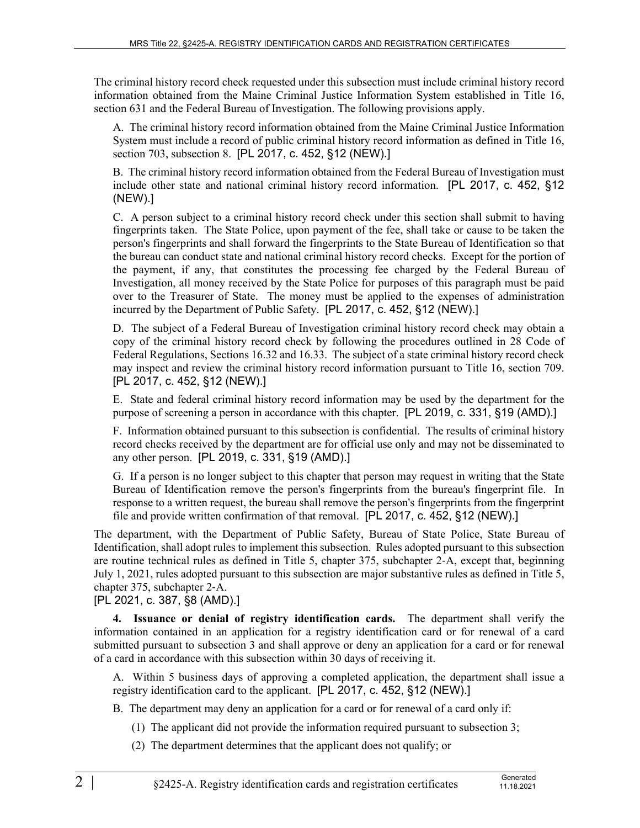The criminal history record check requested under this subsection must include criminal history record information obtained from the Maine Criminal Justice Information System established in Title 16, section 631 and the Federal Bureau of Investigation. The following provisions apply.

A. The criminal history record information obtained from the Maine Criminal Justice Information System must include a record of public criminal history record information as defined in Title 16, section 703, subsection 8. [PL 2017, c. 452, §12 (NEW).]

B. The criminal history record information obtained from the Federal Bureau of Investigation must include other state and national criminal history record information. [PL 2017, c. 452, §12 (NEW).]

C. A person subject to a criminal history record check under this section shall submit to having fingerprints taken. The State Police, upon payment of the fee, shall take or cause to be taken the person's fingerprints and shall forward the fingerprints to the State Bureau of Identification so that the bureau can conduct state and national criminal history record checks. Except for the portion of the payment, if any, that constitutes the processing fee charged by the Federal Bureau of Investigation, all money received by the State Police for purposes of this paragraph must be paid over to the Treasurer of State. The money must be applied to the expenses of administration incurred by the Department of Public Safety. [PL 2017, c. 452, §12 (NEW).]

D. The subject of a Federal Bureau of Investigation criminal history record check may obtain a copy of the criminal history record check by following the procedures outlined in 28 Code of Federal Regulations, Sections 16.32 and 16.33. The subject of a state criminal history record check may inspect and review the criminal history record information pursuant to Title 16, section 709. [PL 2017, c. 452, §12 (NEW).]

E. State and federal criminal history record information may be used by the department for the purpose of screening a person in accordance with this chapter. [PL 2019, c. 331, §19 (AMD).]

F. Information obtained pursuant to this subsection is confidential. The results of criminal history record checks received by the department are for official use only and may not be disseminated to any other person. [PL 2019, c. 331, §19 (AMD).]

G. If a person is no longer subject to this chapter that person may request in writing that the State Bureau of Identification remove the person's fingerprints from the bureau's fingerprint file. In response to a written request, the bureau shall remove the person's fingerprints from the fingerprint file and provide written confirmation of that removal. [PL 2017, c. 452, §12 (NEW).]

The department, with the Department of Public Safety, Bureau of State Police, State Bureau of Identification, shall adopt rules to implement this subsection. Rules adopted pursuant to this subsection are routine technical rules as defined in Title 5, chapter 375, subchapter 2‑A, except that, beginning July 1, 2021, rules adopted pursuant to this subsection are major substantive rules as defined in Title 5, chapter 375, subchapter 2‑A.

[PL 2021, c. 387, §8 (AMD).]

**4. Issuance or denial of registry identification cards.** The department shall verify the information contained in an application for a registry identification card or for renewal of a card submitted pursuant to subsection 3 and shall approve or deny an application for a card or for renewal of a card in accordance with this subsection within 30 days of receiving it.

A. Within 5 business days of approving a completed application, the department shall issue a registry identification card to the applicant. [PL 2017, c. 452, §12 (NEW).]

B. The department may deny an application for a card or for renewal of a card only if:

- (1) The applicant did not provide the information required pursuant to subsection 3;
- (2) The department determines that the applicant does not qualify; or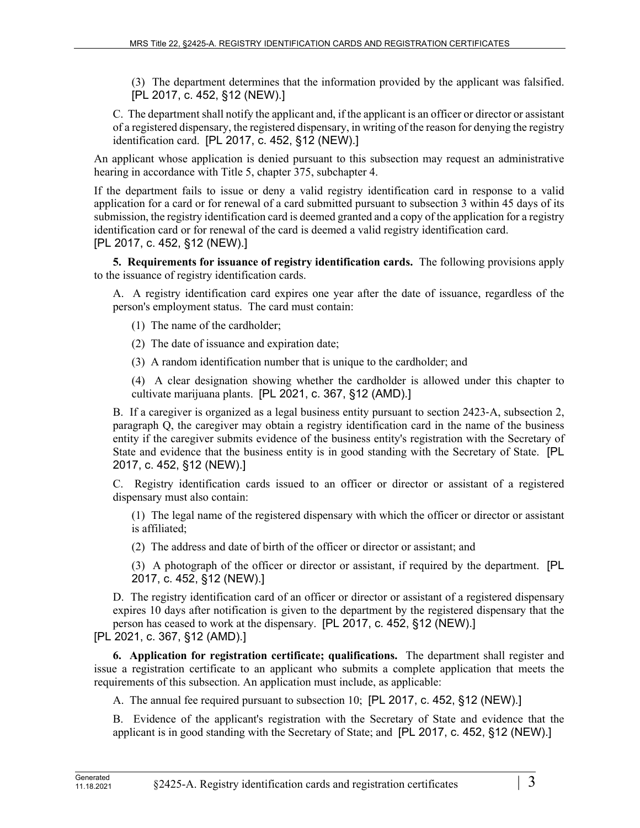(3) The department determines that the information provided by the applicant was falsified. [PL 2017, c. 452, §12 (NEW).]

C. The department shall notify the applicant and, if the applicant is an officer or director or assistant of a registered dispensary, the registered dispensary, in writing of the reason for denying the registry identification card. [PL 2017, c. 452, §12 (NEW).]

An applicant whose application is denied pursuant to this subsection may request an administrative hearing in accordance with Title 5, chapter 375, subchapter 4.

If the department fails to issue or deny a valid registry identification card in response to a valid application for a card or for renewal of a card submitted pursuant to subsection 3 within 45 days of its submission, the registry identification card is deemed granted and a copy of the application for a registry identification card or for renewal of the card is deemed a valid registry identification card. [PL 2017, c. 452, §12 (NEW).]

**5. Requirements for issuance of registry identification cards.** The following provisions apply to the issuance of registry identification cards.

A. A registry identification card expires one year after the date of issuance, regardless of the person's employment status. The card must contain:

(1) The name of the cardholder;

(2) The date of issuance and expiration date;

(3) A random identification number that is unique to the cardholder; and

(4) A clear designation showing whether the cardholder is allowed under this chapter to cultivate marijuana plants. [PL 2021, c. 367, §12 (AMD).]

B. If a caregiver is organized as a legal business entity pursuant to section 2423–A, subsection 2, paragraph Q, the caregiver may obtain a registry identification card in the name of the business entity if the caregiver submits evidence of the business entity's registration with the Secretary of State and evidence that the business entity is in good standing with the Secretary of State. [PL 2017, c. 452, §12 (NEW).]

C. Registry identification cards issued to an officer or director or assistant of a registered dispensary must also contain:

(1) The legal name of the registered dispensary with which the officer or director or assistant is affiliated;

(2) The address and date of birth of the officer or director or assistant; and

(3) A photograph of the officer or director or assistant, if required by the department. [PL 2017, c. 452, §12 (NEW).]

D. The registry identification card of an officer or director or assistant of a registered dispensary expires 10 days after notification is given to the department by the registered dispensary that the person has ceased to work at the dispensary. [PL 2017, c. 452, §12 (NEW).]

[PL 2021, c. 367, §12 (AMD).]

**6. Application for registration certificate; qualifications.** The department shall register and issue a registration certificate to an applicant who submits a complete application that meets the requirements of this subsection. An application must include, as applicable:

A. The annual fee required pursuant to subsection 10; [PL 2017, c. 452, §12 (NEW).]

B. Evidence of the applicant's registration with the Secretary of State and evidence that the applicant is in good standing with the Secretary of State; and [PL 2017, c. 452, §12 (NEW).]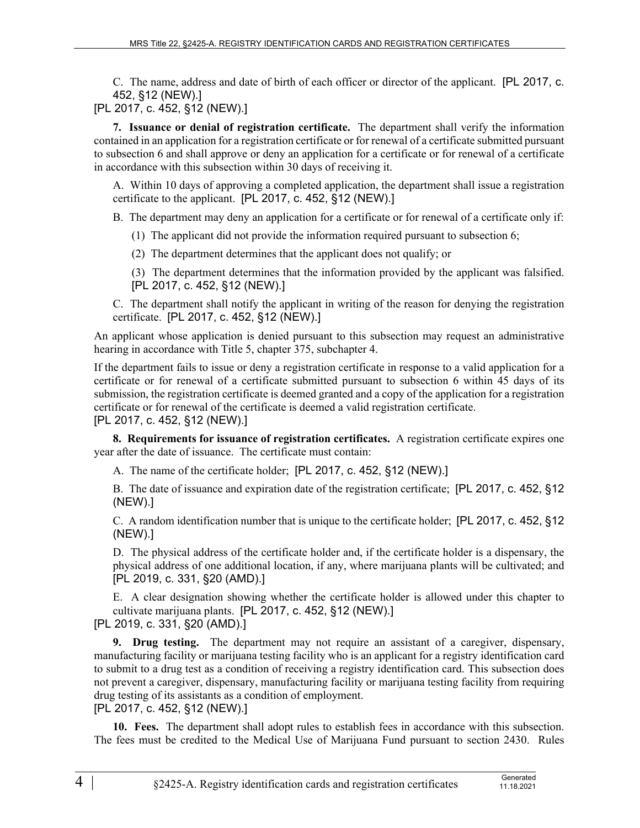C. The name, address and date of birth of each officer or director of the applicant. [PL 2017, c. 452, §12 (NEW).]

[PL 2017, c. 452, §12 (NEW).]

**7. Issuance or denial of registration certificate.** The department shall verify the information contained in an application for a registration certificate or for renewal of a certificate submitted pursuant to subsection 6 and shall approve or deny an application for a certificate or for renewal of a certificate in accordance with this subsection within 30 days of receiving it.

A. Within 10 days of approving a completed application, the department shall issue a registration certificate to the applicant. [PL 2017, c. 452, §12 (NEW).]

B. The department may deny an application for a certificate or for renewal of a certificate only if:

- (1) The applicant did not provide the information required pursuant to subsection 6;
- (2) The department determines that the applicant does not qualify; or
- (3) The department determines that the information provided by the applicant was falsified. [PL 2017, c. 452, §12 (NEW).]

C. The department shall notify the applicant in writing of the reason for denying the registration certificate. [PL 2017, c. 452, §12 (NEW).]

An applicant whose application is denied pursuant to this subsection may request an administrative hearing in accordance with Title 5, chapter 375, subchapter 4.

If the department fails to issue or deny a registration certificate in response to a valid application for a certificate or for renewal of a certificate submitted pursuant to subsection 6 within 45 days of its submission, the registration certificate is deemed granted and a copy of the application for a registration certificate or for renewal of the certificate is deemed a valid registration certificate.

[PL 2017, c. 452, §12 (NEW).]

**8. Requirements for issuance of registration certificates.** A registration certificate expires one year after the date of issuance. The certificate must contain:

A. The name of the certificate holder; [PL 2017, c. 452, §12 (NEW).]

B. The date of issuance and expiration date of the registration certificate; [PL 2017, c. 452, §12 (NEW).]

C. A random identification number that is unique to the certificate holder; [PL 2017, c. 452, §12 (NEW).]

D. The physical address of the certificate holder and, if the certificate holder is a dispensary, the physical address of one additional location, if any, where marijuana plants will be cultivated; and [PL 2019, c. 331, §20 (AMD).]

E. A clear designation showing whether the certificate holder is allowed under this chapter to cultivate marijuana plants. [PL 2017, c. 452, §12 (NEW).] [PL 2019, c. 331, §20 (AMD).]

**9. Drug testing.** The department may not require an assistant of a caregiver, dispensary, manufacturing facility or marijuana testing facility who is an applicant for a registry identification card to submit to a drug test as a condition of receiving a registry identification card. This subsection does not prevent a caregiver, dispensary, manufacturing facility or marijuana testing facility from requiring drug testing of its assistants as a condition of employment. [PL 2017, c. 452, §12 (NEW).]

**10. Fees.** The department shall adopt rules to establish fees in accordance with this subsection. The fees must be credited to the Medical Use of Marijuana Fund pursuant to section 2430. Rules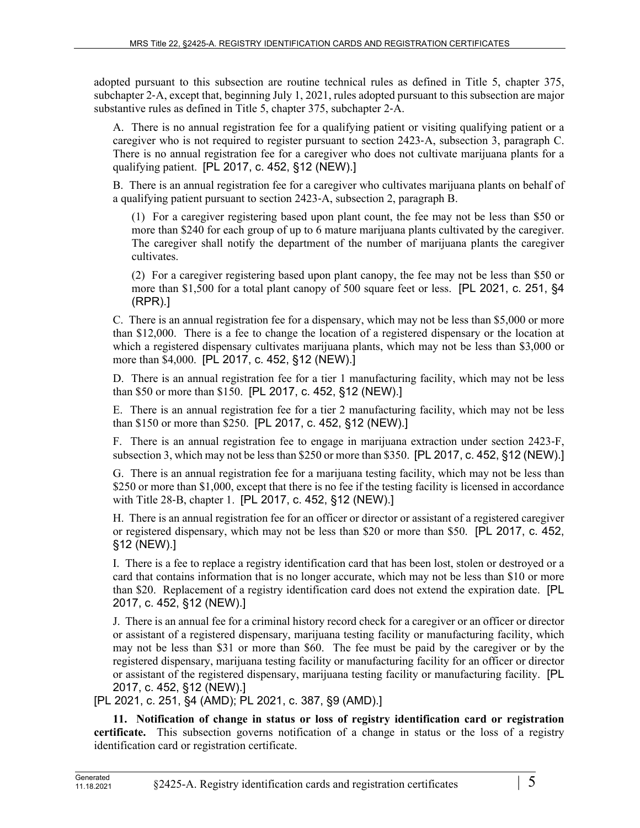adopted pursuant to this subsection are routine technical rules as defined in Title 5, chapter 375, subchapter 2‑A, except that, beginning July 1, 2021, rules adopted pursuant to this subsection are major substantive rules as defined in Title 5, chapter 375, subchapter 2‑A.

A. There is no annual registration fee for a qualifying patient or visiting qualifying patient or a caregiver who is not required to register pursuant to section 2423‑A, subsection 3, paragraph C. There is no annual registration fee for a caregiver who does not cultivate marijuana plants for a qualifying patient. [PL 2017, c. 452, §12 (NEW).]

B. There is an annual registration fee for a caregiver who cultivates marijuana plants on behalf of a qualifying patient pursuant to section 2423‑A, subsection 2, paragraph B.

(1) For a caregiver registering based upon plant count, the fee may not be less than \$50 or more than \$240 for each group of up to 6 mature marijuana plants cultivated by the caregiver. The caregiver shall notify the department of the number of marijuana plants the caregiver cultivates.

(2) For a caregiver registering based upon plant canopy, the fee may not be less than \$50 or more than \$1,500 for a total plant canopy of 500 square feet or less. [PL 2021, c. 251, §4 (RPR).]

C. There is an annual registration fee for a dispensary, which may not be less than \$5,000 or more than \$12,000. There is a fee to change the location of a registered dispensary or the location at which a registered dispensary cultivates marijuana plants, which may not be less than \$3,000 or more than \$4,000. [PL 2017, c. 452, §12 (NEW).]

D. There is an annual registration fee for a tier 1 manufacturing facility, which may not be less than \$50 or more than \$150. [PL 2017, c. 452, §12 (NEW).]

E. There is an annual registration fee for a tier 2 manufacturing facility, which may not be less than \$150 or more than \$250. [PL 2017, c. 452, §12 (NEW).]

F. There is an annual registration fee to engage in marijuana extraction under section 2423‑F, subsection 3, which may not be less than \$250 or more than \$350. [PL 2017, c. 452, §12 (NEW).]

G. There is an annual registration fee for a marijuana testing facility, which may not be less than \$250 or more than \$1,000, except that there is no fee if the testing facility is licensed in accordance with Title 28-B, chapter 1. [PL 2017, c. 452, §12 (NEW).]

H. There is an annual registration fee for an officer or director or assistant of a registered caregiver or registered dispensary, which may not be less than \$20 or more than \$50. [PL 2017, c. 452, §12 (NEW).]

I. There is a fee to replace a registry identification card that has been lost, stolen or destroyed or a card that contains information that is no longer accurate, which may not be less than \$10 or more than \$20. Replacement of a registry identification card does not extend the expiration date. [PL 2017, c. 452, §12 (NEW).]

J. There is an annual fee for a criminal history record check for a caregiver or an officer or director or assistant of a registered dispensary, marijuana testing facility or manufacturing facility, which may not be less than \$31 or more than \$60. The fee must be paid by the caregiver or by the registered dispensary, marijuana testing facility or manufacturing facility for an officer or director or assistant of the registered dispensary, marijuana testing facility or manufacturing facility. [PL 2017, c. 452, §12 (NEW).]

[PL 2021, c. 251, §4 (AMD); PL 2021, c. 387, §9 (AMD).]

**11. Notification of change in status or loss of registry identification card or registration certificate.** This subsection governs notification of a change in status or the loss of a registry identification card or registration certificate.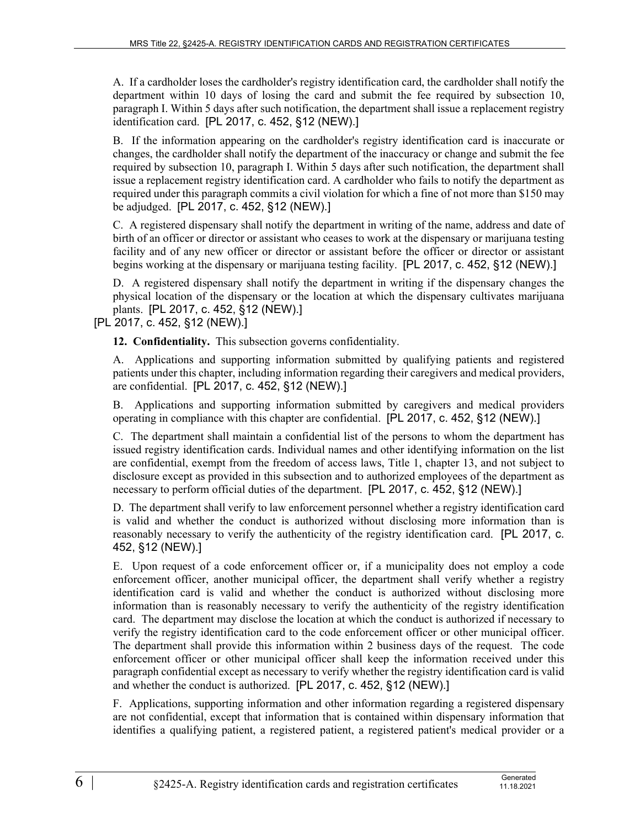A. If a cardholder loses the cardholder's registry identification card, the cardholder shall notify the department within 10 days of losing the card and submit the fee required by subsection 10, paragraph I. Within 5 days after such notification, the department shall issue a replacement registry identification card. [PL 2017, c. 452, §12 (NEW).]

B. If the information appearing on the cardholder's registry identification card is inaccurate or changes, the cardholder shall notify the department of the inaccuracy or change and submit the fee required by subsection 10, paragraph I. Within 5 days after such notification, the department shall issue a replacement registry identification card. A cardholder who fails to notify the department as required under this paragraph commits a civil violation for which a fine of not more than \$150 may be adjudged. [PL 2017, c. 452, §12 (NEW).]

C. A registered dispensary shall notify the department in writing of the name, address and date of birth of an officer or director or assistant who ceases to work at the dispensary or marijuana testing facility and of any new officer or director or assistant before the officer or director or assistant begins working at the dispensary or marijuana testing facility. [PL 2017, c. 452, §12 (NEW).]

D. A registered dispensary shall notify the department in writing if the dispensary changes the physical location of the dispensary or the location at which the dispensary cultivates marijuana plants. [PL 2017, c. 452, §12 (NEW).]

[PL 2017, c. 452, §12 (NEW).]

**12. Confidentiality.** This subsection governs confidentiality.

A. Applications and supporting information submitted by qualifying patients and registered patients under this chapter, including information regarding their caregivers and medical providers, are confidential. [PL 2017, c. 452, §12 (NEW).]

B. Applications and supporting information submitted by caregivers and medical providers operating in compliance with this chapter are confidential. [PL 2017, c. 452, §12 (NEW).]

C. The department shall maintain a confidential list of the persons to whom the department has issued registry identification cards. Individual names and other identifying information on the list are confidential, exempt from the freedom of access laws, Title 1, chapter 13, and not subject to disclosure except as provided in this subsection and to authorized employees of the department as necessary to perform official duties of the department. [PL 2017, c. 452, §12 (NEW).]

D. The department shall verify to law enforcement personnel whether a registry identification card is valid and whether the conduct is authorized without disclosing more information than is reasonably necessary to verify the authenticity of the registry identification card. [PL 2017, c. 452, §12 (NEW).]

E. Upon request of a code enforcement officer or, if a municipality does not employ a code enforcement officer, another municipal officer, the department shall verify whether a registry identification card is valid and whether the conduct is authorized without disclosing more information than is reasonably necessary to verify the authenticity of the registry identification card. The department may disclose the location at which the conduct is authorized if necessary to verify the registry identification card to the code enforcement officer or other municipal officer. The department shall provide this information within 2 business days of the request. The code enforcement officer or other municipal officer shall keep the information received under this paragraph confidential except as necessary to verify whether the registry identification card is valid and whether the conduct is authorized. [PL 2017, c. 452, §12 (NEW).]

F. Applications, supporting information and other information regarding a registered dispensary are not confidential, except that information that is contained within dispensary information that identifies a qualifying patient, a registered patient, a registered patient's medical provider or a

11.18.2021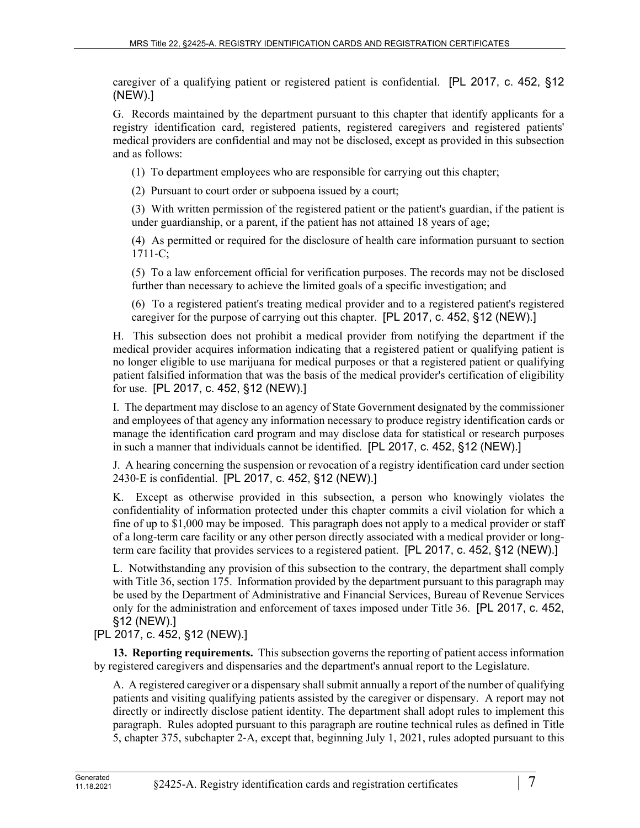caregiver of a qualifying patient or registered patient is confidential. [PL 2017, c. 452, §12 (NEW).]

G. Records maintained by the department pursuant to this chapter that identify applicants for a registry identification card, registered patients, registered caregivers and registered patients' medical providers are confidential and may not be disclosed, except as provided in this subsection and as follows:

(1) To department employees who are responsible for carrying out this chapter;

(2) Pursuant to court order or subpoena issued by a court;

(3) With written permission of the registered patient or the patient's guardian, if the patient is under guardianship, or a parent, if the patient has not attained 18 years of age;

(4) As permitted or required for the disclosure of health care information pursuant to section  $1711 - C$ ;

(5) To a law enforcement official for verification purposes. The records may not be disclosed further than necessary to achieve the limited goals of a specific investigation; and

(6) To a registered patient's treating medical provider and to a registered patient's registered caregiver for the purpose of carrying out this chapter. [PL 2017, c. 452, §12 (NEW).]

H. This subsection does not prohibit a medical provider from notifying the department if the medical provider acquires information indicating that a registered patient or qualifying patient is no longer eligible to use marijuana for medical purposes or that a registered patient or qualifying patient falsified information that was the basis of the medical provider's certification of eligibility for use. [PL 2017, c. 452, §12 (NEW).]

I. The department may disclose to an agency of State Government designated by the commissioner and employees of that agency any information necessary to produce registry identification cards or manage the identification card program and may disclose data for statistical or research purposes in such a manner that individuals cannot be identified. [PL 2017, c. 452, §12 (NEW).]

J. A hearing concerning the suspension or revocation of a registry identification card under section 2430‑E is confidential. [PL 2017, c. 452, §12 (NEW).]

K. Except as otherwise provided in this subsection, a person who knowingly violates the confidentiality of information protected under this chapter commits a civil violation for which a fine of up to \$1,000 may be imposed. This paragraph does not apply to a medical provider or staff of a long-term care facility or any other person directly associated with a medical provider or longterm care facility that provides services to a registered patient. [PL 2017, c. 452, §12 (NEW).]

L. Notwithstanding any provision of this subsection to the contrary, the department shall comply with Title 36, section 175. Information provided by the department pursuant to this paragraph may be used by the Department of Administrative and Financial Services, Bureau of Revenue Services only for the administration and enforcement of taxes imposed under Title 36. [PL 2017, c. 452, §12 (NEW).]

## [PL 2017, c. 452, §12 (NEW).]

**13. Reporting requirements.** This subsection governs the reporting of patient access information by registered caregivers and dispensaries and the department's annual report to the Legislature.

A. A registered caregiver or a dispensary shall submit annually a report of the number of qualifying patients and visiting qualifying patients assisted by the caregiver or dispensary. A report may not directly or indirectly disclose patient identity. The department shall adopt rules to implement this paragraph. Rules adopted pursuant to this paragraph are routine technical rules as defined in Title 5, chapter 375, subchapter 2‑A, except that, beginning July 1, 2021, rules adopted pursuant to this